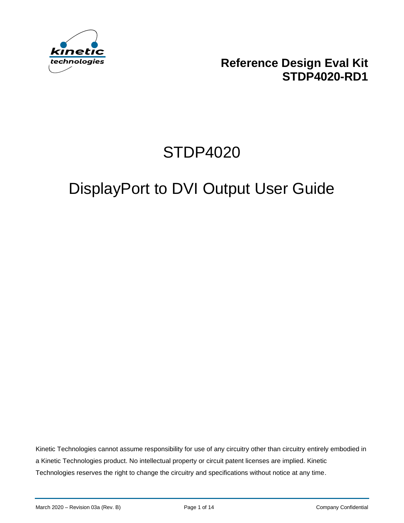

**Reference Design Eval Kit STDP4020-RD1**

# STDP4020

# DisplayPort to DVI Output User Guide

Kinetic Technologies cannot assume responsibility for use of any circuitry other than circuitry entirely embodied in a Kinetic Technologies product. No intellectual property or circuit patent licenses are implied. Kinetic Technologies reserves the right to change the circuitry and specifications without notice at any time.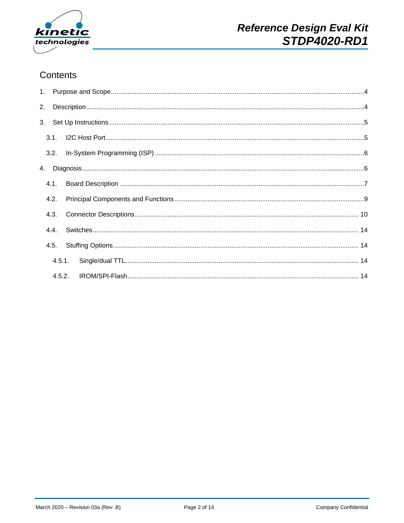

# Contents

| 4.2. |  |  |
|------|--|--|
| 4.3. |  |  |
|      |  |  |
| 4.5. |  |  |
|      |  |  |
|      |  |  |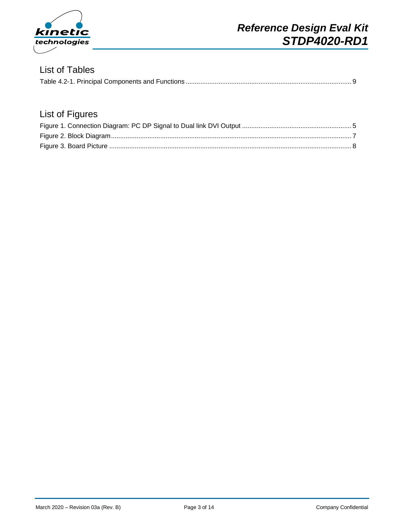

## List of Tables

|--|

# List of Figures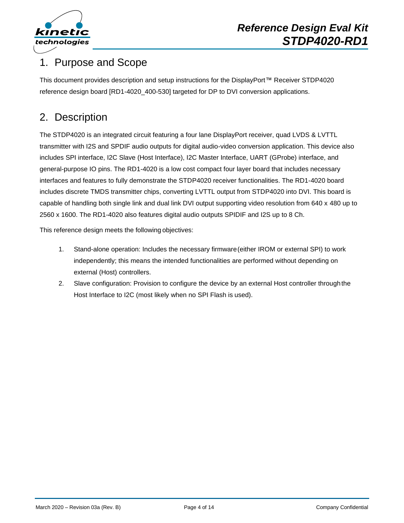

# <span id="page-3-0"></span>1. Purpose and Scope

This document provides description and setup instructions for the DisplayPort™ Receiver STDP4020 reference design board [RD1-4020\_400-530] targeted for DP to DVI conversion applications.

# <span id="page-3-1"></span>2. Description

The STDP4020 is an integrated circuit featuring a four lane DisplayPort receiver, quad LVDS & LVTTL transmitter with I2S and SPDIF audio outputs for digital audio-video conversion application. This device also includes SPI interface, I2C Slave (Host Interface), I2C Master Interface, UART (GProbe) interface, and general-purpose IO pins. The RD1-4020 is a low cost compact four layer board that includes necessary interfaces and features to fully demonstrate the STDP4020 receiver functionalities. The RD1-4020 board includes discrete TMDS transmitter chips, converting LVTTL output from STDP4020 into DVI. This board is capable of handling both single link and dual link DVI output supporting video resolution from 640 x 480 up to 2560 x 1600. The RD1-4020 also features digital audio outputs SPIDIF and I2S up to 8 Ch.

This reference design meets the following objectives:

- 1. Stand-alone operation: Includes the necessary firmware(either IROM or external SPI) to work independently; this means the intended functionalities are performed without depending on external (Host) controllers.
- 2. Slave configuration: Provision to configure the device by an external Host controller through the Host Interface to I2C (most likely when no SPI Flash is used).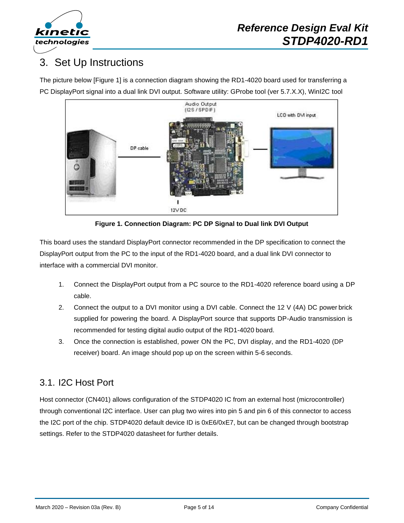

# <span id="page-4-0"></span>3. Set Up Instructions

The picture below [Figure 1] is a connection diagram showing the RD1-4020 board used for transferring a PC DisplayPort signal into a dual link DVI output. Software utility: GProbe tool (ver 5.7.X.X), WinI2C tool



**Figure 1. Connection Diagram: PC DP Signal to Dual link DVI Output**

<span id="page-4-2"></span>This board uses the standard DisplayPort connector recommended in the DP specification to connect the DisplayPort output from the PC to the input of the RD1-4020 board, and a dual link DVI connector to interface with a commercial DVI monitor.

- 1. Connect the DisplayPort output from a PC source to the RD1-4020 reference board using a DP cable.
- 2. Connect the output to a DVI monitor using a DVI cable. Connect the 12 V (4A) DC power brick supplied for powering the board. A DisplayPort source that supports DP-Audio transmission is recommended for testing digital audio output of the RD1-4020 board.
- 3. Once the connection is established, power ON the PC, DVI display, and the RD1-4020 (DP receiver) board. An image should pop up on the screen within 5-6 seconds.

### <span id="page-4-1"></span>3.1. I2C Host Port

Host connector (CN401) allows configuration of the STDP4020 IC from an external host (microcontroller) through conventional I2C interface. User can plug two wires into pin 5 and pin 6 of this connector to access the I2C port of the chip. STDP4020 default device ID is 0xE6/0xE7, but can be changed through bootstrap settings. Refer to the STDP4020 datasheet for further details.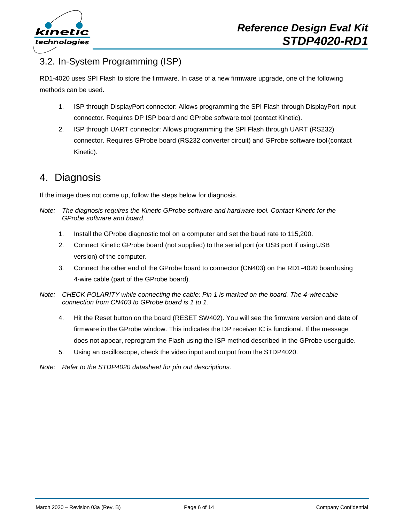

# <span id="page-5-0"></span>3.2. In-System Programming (ISP)

RD1-4020 uses SPI Flash to store the firmware. In case of a new firmware upgrade, one of the following methods can be used.

- 1. ISP through DisplayPort connector: Allows programming the SPI Flash through DisplayPort input connector. Requires DP ISP board and GProbe software tool (contact Kinetic).
- 2. ISP through UART connector: Allows programming the SPI Flash through UART (RS232) connector. Requires GProbe board (RS232 converter circuit) and GProbe software tool(contact Kinetic).

# <span id="page-5-1"></span>4. Diagnosis

If the image does not come up, follow the steps below for diagnosis.

- *Note: The diagnosis requires the Kinetic GProbe software and hardware tool. Contact Kinetic for the GProbe software and board.*
	- 1. Install the GProbe diagnostic tool on a computer and set the baud rate to 115,200.
	- 2. Connect Kinetic GProbe board (not supplied) to the serial port (or USB port if usingUSB version) of the computer.
	- 3. Connect the other end of the GProbe board to connector (CN403) on the RD1-4020 boardusing 4-wire cable (part of the GProbe board).
- *Note: CHECK POLARITY while connecting the cable; Pin 1 is marked on the board. The 4-wirecable connection from CN403 to GProbe board is 1 to 1.*
	- 4. Hit the Reset button on the board (RESET SW402). You will see the firmware version and date of firmware in the GProbe window. This indicates the DP receiver IC is functional. If the message does not appear, reprogram the Flash using the ISP method described in the GProbe user guide.
	- 5. Using an oscilloscope, check the video input and output from the STDP4020.

*Note: Refer to the STDP4020 datasheet for pin out descriptions.*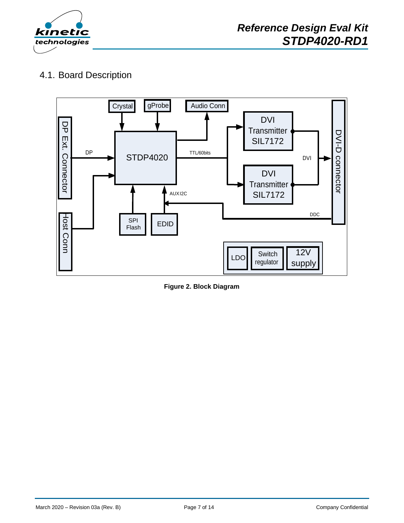

## <span id="page-6-0"></span>4.1. Board Description



**Figure 2. Block Diagram**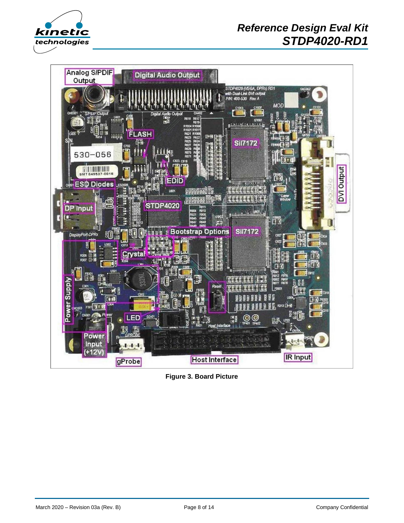



<span id="page-7-0"></span>**Figure 3. Board Picture**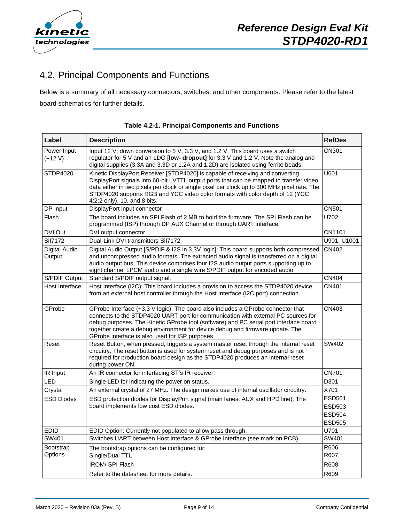

# <span id="page-8-0"></span>4.2. Principal Components and Functions

Below is a summary of all necessary connectors, switches, and other components. Please refer to the latest board schematics for further details.

<span id="page-8-1"></span>

| Label                          | <b>Description</b>                                                                                                                                                                                                                                                                                                                                                                                 | <b>RefDes</b>                                      |
|--------------------------------|----------------------------------------------------------------------------------------------------------------------------------------------------------------------------------------------------------------------------------------------------------------------------------------------------------------------------------------------------------------------------------------------------|----------------------------------------------------|
| Power Input<br>$(+12 V)$       | Input 12 V, down conversion to 5 V, 3.3 V, and 1.2 V. This board uses a switch<br>regulator for 5 V and an LDO [low- dropout] for 3.3 V and 1.2 V. Note the analog and<br>digital supplies (3.3A and 3.3D or 1.2A and 1.2D) are isolated using ferrite beads.                                                                                                                                      | CN301                                              |
| STDP4020                       | Kinetic DisplayPort Receiver [STDP4020] is capable of receiving and converting<br>DisplayPort signals into 60-bit LVTTL output ports that can be mapped to transfer video<br>data either in two pixels per clock or single pixel per clock up to 300 MHz pixel rate. The<br>STDP4020 supports RGB and YCC video color formats with color depth of 12 (YCC<br>4:2:2 only), 10, and 8 bits.          | U601                                               |
| DP Input                       | DisplayPort input connector                                                                                                                                                                                                                                                                                                                                                                        | CN501                                              |
| Flash                          | The board includes an SPI Flash of 2 MB to hold the firmware. The SPI Flash can be<br>programmed (ISP) through DP AUX Channel or through UART interface.                                                                                                                                                                                                                                           | U702                                               |
| DVI Out                        | DVI output connector                                                                                                                                                                                                                                                                                                                                                                               | CN1101                                             |
| Sil7172                        | Dual-Link DVI transmitters Sil7172                                                                                                                                                                                                                                                                                                                                                                 | U901, U1001                                        |
| <b>Digital Audio</b><br>Output | Digital Audio Output [S/PDIF & I2S in 3.3V logic]: This board supports both compressed<br>and uncompressed audio formats. The extracted audio signal is transferred on a digital<br>audio output bus. This device comprises four I2S audio output ports supporting up to<br>eight channel LPCM audio and a single wire S/PDIF output for encoded audio                                             | CN402                                              |
| S/PDIF Output                  | Standard S/PDIF output signal.                                                                                                                                                                                                                                                                                                                                                                     | <b>CN404</b>                                       |
| Host Interface                 | Host Interface (I2C): This board includes a provision to access the STDP4020 device<br>from an external host controller through the Host Interface (I2C port) connection.                                                                                                                                                                                                                          | <b>CN401</b>                                       |
| GProbe                         | GProbe Interface (+3.3 V logic): The board also includes a GProbe connector that<br>connects to the STDP4020 UART port for communication with external PC sources for<br>debug purposes. The Kinetic GProbe tool (software) and PC serial port interface board<br>together create a debug environment for device debug and firmware update. The<br>GProbe interface is also used for ISP purposes. | CN403                                              |
| Reset                          | Reset Button, when pressed, triggers a system master reset through the internal reset<br>circuitry. The reset button is used for system reset and debug purposes and is not<br>required for production board design as the STDP4020 produces an internal reset<br>during power ON.                                                                                                                 | SW402                                              |
| IR Input                       | An IR connector for interfacing ST's IR receiver.                                                                                                                                                                                                                                                                                                                                                  | <b>CN701</b>                                       |
| LED                            | Single LED for indicating the power on status.                                                                                                                                                                                                                                                                                                                                                     | D301                                               |
| Crystal                        | An external crystal of 27 MHz. The design makes use of internal oscillator circuitry.                                                                                                                                                                                                                                                                                                              | X701                                               |
| <b>ESD Diodes</b>              | ESD protection diodes for DisplayPort signal (main lanes, AUX and HPD line). The<br>board implements low cost ESD diodes.                                                                                                                                                                                                                                                                          | ESD501<br>ESD503<br><b>ESD504</b><br><b>ESD505</b> |
| <b>EDID</b>                    | EDID Option: Currently not populated to allow pass through.                                                                                                                                                                                                                                                                                                                                        | U701                                               |
| SW401                          | Switches UART between Host Interface & GProbe Interface (see mark on PCB).                                                                                                                                                                                                                                                                                                                         | SW401                                              |
| <b>Bootstrap</b><br>Options    | The bootstrap options can be configured for:<br>Single/Dual TTL                                                                                                                                                                                                                                                                                                                                    | R606<br>R607                                       |
|                                | <b>IROM/ SPI Flash</b>                                                                                                                                                                                                                                                                                                                                                                             | R608                                               |
|                                | Refer to the datasheet for more details.                                                                                                                                                                                                                                                                                                                                                           | R609                                               |

|  | <b>Table 4.2-1. Principal Components and Functions</b> |  |
|--|--------------------------------------------------------|--|
|  |                                                        |  |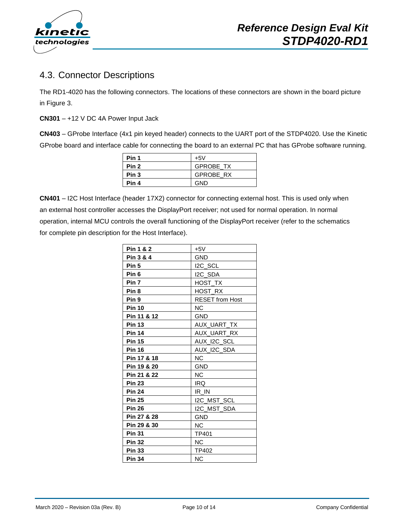

### <span id="page-9-0"></span>4.3. Connector Descriptions

The RD1-4020 has the following connectors. The locations of these connectors are shown in the board picture in Figure 3.

**CN301** – +12 V DC 4A Power Input Jack

**CN403** – GProbe Interface (4x1 pin keyed header) connects to the UART port of the STDP4020. Use the Kinetic GProbe board and interface cable for connecting the board to an external PC that has GProbe software running.

| Pin 1 | $+5V$            |
|-------|------------------|
| Pin 2 | <b>GPROBE TX</b> |
| Pin 3 | <b>GPROBE RX</b> |
| Pin 4 | GND              |

**CN401** – I2C Host Interface (header 17X2) connector for connecting external host. This is used only when an external host controller accesses the DisplayPort receiver; not used for normal operation. In normal operation, internal MCU controls the overall functioning of the DisplayPort receiver (refer to the schematics for complete pin description for the Host Interface).

| Pin 1 & 2        | $+5V$                  |
|------------------|------------------------|
| Pin 3 & 4        | GND                    |
| Pin 5            | I2C_SCL                |
| Pin <sub>6</sub> | I2C_SDA                |
| Pin <sub>7</sub> | HOST_TX                |
| Pin <sub>8</sub> | HOST RX                |
| Pin 9            | <b>RESET from Host</b> |
| <b>Pin 10</b>    | <b>NC</b>              |
| Pin 11 & 12      | <b>GND</b>             |
| <b>Pin 13</b>    | AUX UART TX            |
| <b>Pin 14</b>    | AUX_UART_RX            |
| <b>Pin 15</b>    | AUX_I2C_SCL            |
| <b>Pin 16</b>    | AUX_I2C_SDA            |
| Pin 17 & 18      | NC.                    |
| Pin 19 & 20      | <b>GND</b>             |
| Pin 21 & 22      | <b>NC</b>              |
| <b>Pin 23</b>    | IRQ.                   |
| <b>Pin 24</b>    | IR IN                  |
| <b>Pin 25</b>    | I2C_MST_SCL            |
| <b>Pin 26</b>    | I2C_MST_SDA            |
| Pin 27 & 28      | <b>GND</b>             |
| Pin 29 & 30      | <b>NC</b>              |
| <b>Pin 31</b>    | <b>TP401</b>           |
| <b>Pin 32</b>    | <b>NC</b>              |
| <b>Pin 33</b>    | TP402                  |
| <b>Pin 34</b>    | <b>NC</b>              |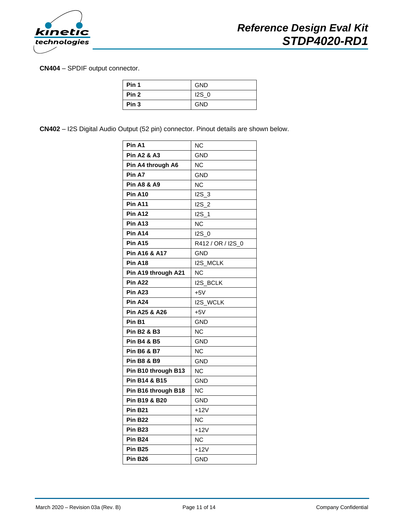

**CN404** – SPDIF output connector.

| Pin 1            | <b>GND</b> |
|------------------|------------|
| Pin <sub>2</sub> | $12S_0$    |
| Pin <sub>3</sub> | <b>GND</b> |

**CN402** – I2S Digital Audio Output (52 pin) connector. Pinout details are shown below.

| Pin A1                   | ΝC                |
|--------------------------|-------------------|
| <b>Pin A2 &amp; A3</b>   | GND               |
| Pin A4 through A6        | <b>NC</b>         |
| Pin A7                   | <b>GND</b>        |
| <b>Pin A8 &amp; A9</b>   | ΝC                |
| <b>Pin A10</b>           | 12S <sub>3</sub>  |
| <b>Pin A11</b>           | 12S <sub>2</sub>  |
| Pin A12                  | 12S <sub>1</sub>  |
| <b>Pin A13</b>           | ΝC                |
| <b>Pin A14</b>           | 12S <sub>0</sub>  |
| <b>Pin A15</b>           | R412 / OR / I2S_0 |
| <b>Pin A16 &amp; A17</b> | <b>GND</b>        |
| <b>Pin A18</b>           | <b>I2S MCLK</b>   |
| Pin A19 through A21      | <b>NC</b>         |
| <b>Pin A22</b>           | I2S_BCLK          |
| Pin A23                  | $+5V$             |
| Pin A24                  | <b>I2S WCLK</b>   |
| Pin A25 & A26            | $+5V$             |
| Pin B1                   | <b>GND</b>        |
| <b>Pin B2 &amp; B3</b>   | ΝC                |
| <b>Pin B4 &amp; B5</b>   | <b>GND</b>        |
| <b>Pin B6 &amp; B7</b>   | <b>NC</b>         |
| <b>Pin B8 &amp; B9</b>   | <b>GND</b>        |
| Pin B10 through B13      | <b>NC</b>         |
| Pin B14 & B15            | <b>GND</b>        |
| Pin B16 through B18      | <b>NC</b>         |
| Pin B19 & B20            | GND               |
| <b>Pin B21</b>           | $+12V$            |
| <b>Pin B22</b>           | ΝC                |
| <b>Pin B23</b>           | +12V              |
| <b>Pin B24</b>           | ΝC                |
| <b>Pin B25</b>           | $+12V$            |
| <b>Pin B26</b>           | <b>GND</b>        |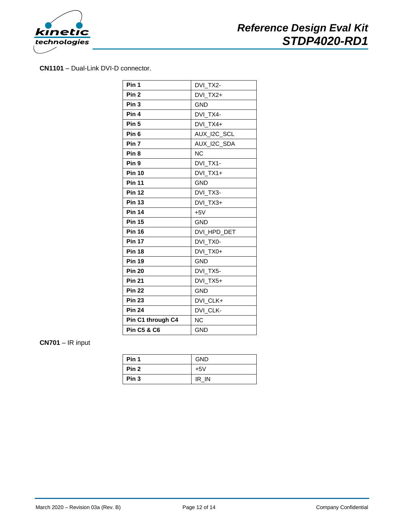

**CN1101** – Dual-Link DVI-D connector.

| Pin 1                  | DVI TX2-    |
|------------------------|-------------|
| Pin <sub>2</sub>       | DVI TX2+    |
| Pin <sub>3</sub>       | <b>GND</b>  |
| Pin 4                  | DVI_TX4-    |
| Pin <sub>5</sub>       | DVI_TX4+    |
| Pin <sub>6</sub>       | AUX_I2C_SCL |
| Pin <sub>7</sub>       | AUX_I2C_SDA |
| Pin <sub>8</sub>       | <b>NC</b>   |
| Pin <sub>9</sub>       | DVI TX1-    |
| <b>Pin 10</b>          | DVI_TX1+    |
| <b>Pin 11</b>          | <b>GND</b>  |
| <b>Pin 12</b>          | DVI_TX3-    |
| <b>Pin 13</b>          | DVI TX3+    |
| <b>Pin 14</b>          | $+5V$       |
| <b>Pin 15</b>          | <b>GND</b>  |
| <b>Pin 16</b>          | DVI_HPD_DET |
| <b>Pin 17</b>          | DVI_TX0-    |
| <b>Pin 18</b>          | DVI_TX0+    |
| <b>Pin 19</b>          | <b>GND</b>  |
| <b>Pin 20</b>          | DVI_TX5-    |
| <b>Pin 21</b>          | DVI_TX5+    |
| <b>Pin 22</b>          | <b>GND</b>  |
| <b>Pin 23</b>          | DVI_CLK+    |
| <b>Pin 24</b>          | DVI_CLK-    |
| Pin C1 through C4      | <b>NC</b>   |
| <b>Pin C5 &amp; C6</b> | <b>GND</b>  |

#### **CN701** – IR input

| Pin 1            | <b>GND</b> |
|------------------|------------|
| Pin <sub>2</sub> | $+5V$      |
| Pin <sub>3</sub> | IR IN      |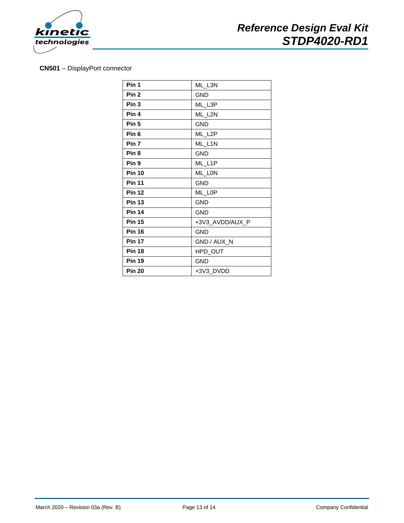

#### **CN501** – DisplayPort connector

| Pin 1            | ML_L3N          |
|------------------|-----------------|
| Pin <sub>2</sub> | <b>GND</b>      |
| Pin <sub>3</sub> | ML_L3P          |
| Pin 4            | ML_L2N          |
| Pin <sub>5</sub> | <b>GND</b>      |
| Pin <sub>6</sub> | ML_L2P          |
| Pin <sub>7</sub> | ML_L1N          |
| Pin <sub>8</sub> | <b>GND</b>      |
| Pin 9            | ML_L1P          |
| <b>Pin 10</b>    | ML_LON          |
| <b>Pin 11</b>    | <b>GND</b>      |
| <b>Pin 12</b>    | ML_L0P          |
| <b>Pin 13</b>    | <b>GND</b>      |
| <b>Pin 14</b>    | <b>GND</b>      |
| <b>Pin 15</b>    | +3V3 AVDD/AUX P |
| <b>Pin 16</b>    | <b>GND</b>      |
| <b>Pin 17</b>    | GND / AUX_N     |
| <b>Pin 18</b>    | HPD_OUT         |
| <b>Pin 19</b>    | <b>GND</b>      |
| <b>Pin 20</b>    | +3V3_DVDD       |